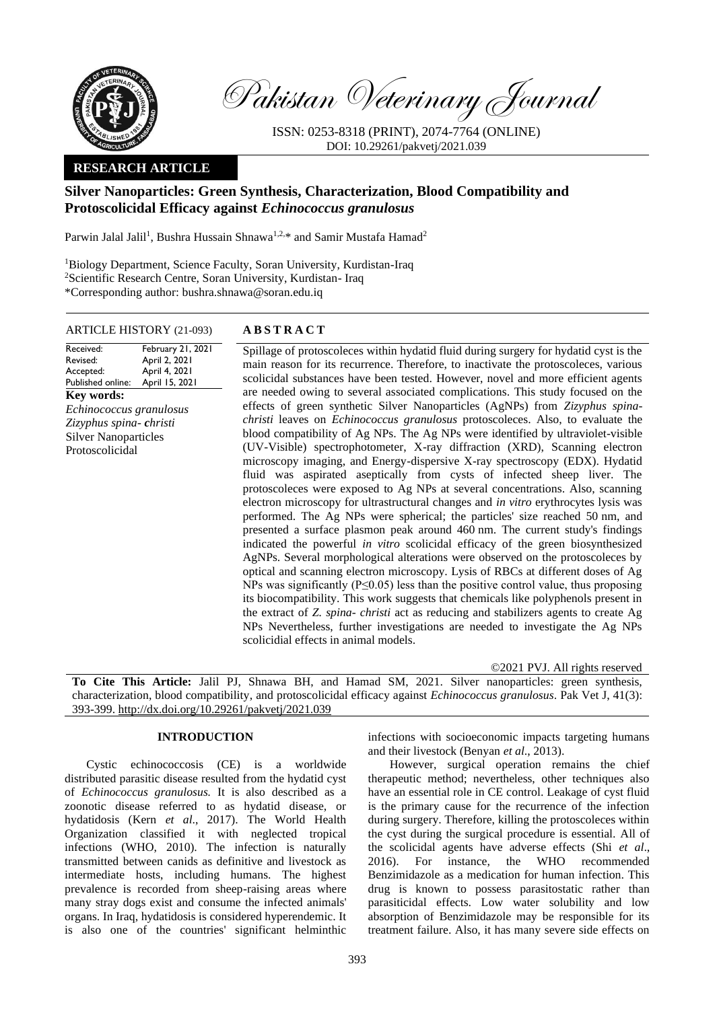

Pakistan Veterinary Journal

ISSN: 0253-8318 (PRINT), 2074-7764 (ONLINE) DOI: 10.29261/pakvetj/2021.039

## **RESEARCH ARTICLE**

# **Silver Nanoparticles: Green Synthesis, Characterization, Blood Compatibility and Protoscolicidal Efficacy against** *Echinococcus granulosus*

Parwin Jalal Jalil<sup>1</sup>, Bushra Hussain Shnawa<sup>1,2,\*</sup> and Samir Mustafa Hamad<sup>2</sup>

<sup>1</sup>Biology Department, Science Faculty, Soran University, Kurdistan-Iraq <sup>2</sup>Scientific Research Centre, Soran University, Kurdistan- Iraq \*Corresponding author: [bushra.shnawa@soran.edu.iq](mailto:bushra.shnawa@soran.edu.iq)

#### ARTICLE HISTORY (21-093) **A B S T R A C T**

February 21, 2021

Revised: Accepted: Published online: April 2, 2021 April 4, 2021 April 15, 2021 **Key words:**  *Echinococcus granulosus Zizyphus spina- christi* Silver Nanoparticles Protoscolicidal

Received:

Spillage of protoscoleces within hydatid fluid during surgery for hydatid cyst is the main reason for its recurrence. Therefore, to inactivate the protoscoleces, various scolicidal substances have been tested. However, novel and more efficient agents are needed owing to several associated complications. This study focused on the effects of green synthetic Silver Nanoparticles (AgNPs) from *Zizyphus spinachristi* leaves on *Echinococcus granulosus* protoscoleces. Also, to evaluate the blood compatibility of Ag NPs. The Ag NPs were identified by ultraviolet-visible (UV-Visible) spectrophotometer, X-ray diffraction (XRD), Scanning electron microscopy imaging, and Energy-dispersive X-ray spectroscopy (EDX). Hydatid fluid was aspirated aseptically from cysts of infected sheep liver. The protoscoleces were exposed to Ag NPs at several concentrations. Also, scanning electron microscopy for ultrastructural changes and *in vitro* erythrocytes lysis was performed. The Ag NPs were spherical; the particles' size reached 50 nm, and presented a surface plasmon peak around 460 nm. The current study's findings indicated the powerful *in vitro* scolicidal efficacy of the green biosynthesized AgNPs. Several morphological alterations were observed on the protoscoleces by optical and scanning electron microscopy. Lysis of RBCs at different doses of Ag NPs was significantly (P≤0.05) less than the positive control value, thus proposing its biocompatibility. This work suggests that chemicals like polyphenols present in the extract of *Z. spina- christi* act as reducing and stabilizers agents to create Ag NPs Nevertheless, further investigations are needed to investigate the Ag NPs scolicidial effects in animal models.

©2021 PVJ. All rights reserved

**To Cite This Article:** Jalil PJ, Shnawa BH, and Hamad SM, 2021. Silver nanoparticles: green synthesis, characterization, blood compatibility, and protoscolicidal efficacy against *Echinococcus granulosus*. Pak Vet J, 41(3): 393-399[. http://dx.doi.org/10.29261/pakvetj/2021.039](http://pvj.com.pk/pdf-files/41_3/393-399.pdf)

## **INTRODUCTION**

Cystic echinococcosis (CE) is a worldwide distributed parasitic disease resulted from the hydatid cyst of *Echinococcus granulosus.* It is also described as a zoonotic disease referred to as hydatid disease, or hydatidosis [\(Kern](https://pubmed.ncbi.nlm.nih.gov/?term=Kern+P&cauthor_id=28212790) *et al*., 2017). The World Health Organization classified it with neglected tropical infections (WHO, 2010). The infection is naturally transmitted between canids as definitive and livestock as intermediate hosts, including humans. The highest prevalence is recorded from sheep-raising areas where many stray dogs exist and consume the infected animals' organs. In Iraq, hydatidosis is considered hyperendemic. It is also one of the countries' significant helminthic infections with socioeconomic impacts targeting humans and their livestock (Benyan *et al*., 2013).

However, surgical operation remains the chief therapeutic method; nevertheless, other techniques also have an essential role in CE control. Leakage of cyst fluid is the primary cause for the recurrence of the infection during surgery. Therefore, killing the protoscoleces within the cyst during the surgical procedure is essential. All of the scolicidal agents have adverse effects (Shi *et al*., 2016). For instance, the WHO recommended Benzimidazole as a medication for human infection. This drug is known to possess parasitostatic rather than parasiticidal effects. Low water solubility and low absorption of Benzimidazole may be responsible for its treatment failure. Also, it has many severe side effects on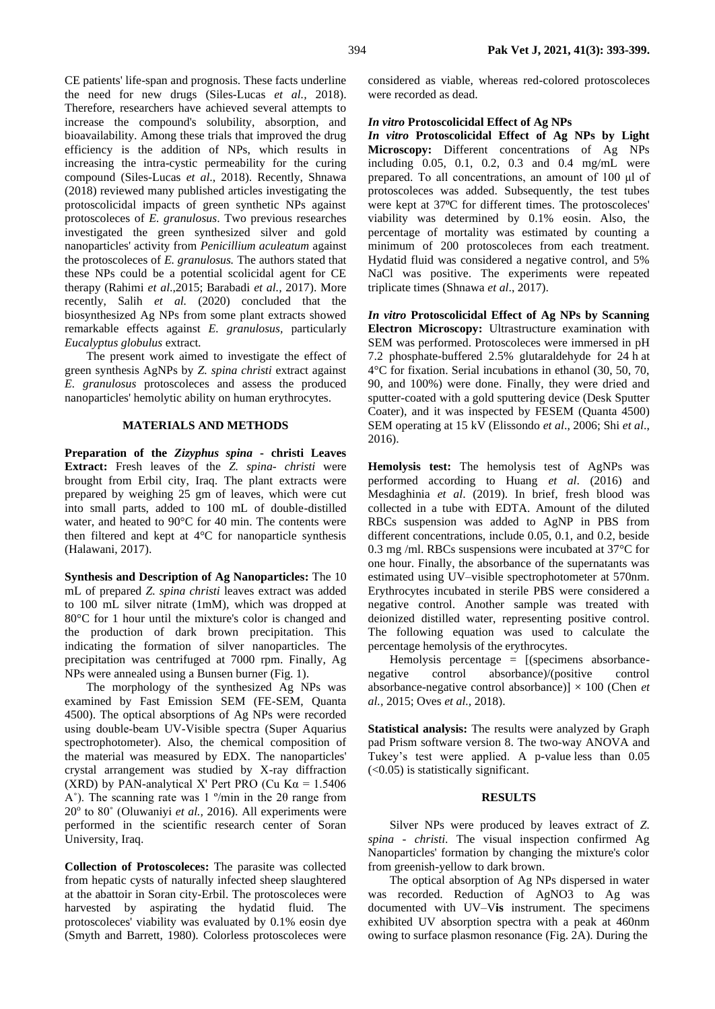CE patients' life-span and prognosis. These facts underline the need for new drugs (Siles-Lucas *et al.,* 2018). Therefore, researchers have achieved several attempts to increase the compound's solubility, absorption, and bioavailability. Among these trials that improved the drug efficiency is the addition of NPs, which results in increasing the intra-cystic permeability for the curing compound (Siles-Lucas *et al*., 2018). Recently, Shnawa (2018) reviewed many published articles investigating the protoscolicidal impacts of green synthetic NPs against protoscoleces of *E. granulosus*. Two previous researches investigated the green synthesized silver and gold nanoparticles' activity from *Penicillium aculeatum* against the protoscoleces of *E. granulosus.* The authors stated that these NPs could be a potential scolicidal agent for CE therapy (Rahimi *et al*.,2015; Barabadi *et al.,* 2017). More recently, Salih *et al.* (2020) concluded that the biosynthesized Ag NPs from some plant extracts showed remarkable effects against *E. granulosus,* particularly *Eucalyptus globulus* extract*.* 

The present work aimed to investigate the effect of green synthesis AgNPs by *Z. spina christi* extract against *E. granulosus* protoscoleces and assess the produced nanoparticles' hemolytic ability on human erythrocytes.

### **MATERIALS AND METHODS**

**Preparation of the** *Zizyphus spina* **- christi Leaves Extract:** Fresh leaves of the *Z. spina- christi* were brought from Erbil city, Iraq. The plant extracts were prepared by weighing 25 gm of leaves, which were cut into small parts, added to 100 mL of double-distilled water, and heated to 90°C for 40 min. The contents were then filtered and kept at 4°C for nanoparticle synthesis (Halawani, 2017).

**Synthesis and Description of Ag Nanoparticles:** The 10 mL of prepared *Z. spina christi* leaves extract was added to 100 mL silver nitrate (1mM), which was dropped at 80°C for 1 hour until the mixture's color is changed and the production of dark brown precipitation. This indicating the formation of silver nanoparticles. The precipitation was centrifuged at 7000 rpm. Finally, Ag NPs were annealed using a Bunsen burner (Fig. 1).

The morphology of the synthesized Ag NPs was examined by Fast Emission SEM (FE-SEM, Quanta 4500). The optical absorptions of Ag NPs were recorded using double‐beam UV-Visible spectra (Super Aquarius spectrophotometer). Also, the chemical composition of the material was measured by EDX. The nanoparticles' crystal arrangement was studied by X-ray diffraction (XRD) by PAN-analytical X' Pert PRO (Cu K $\alpha$  = 1.5406) A<sup>°</sup>). The scanning rate was 1 <sup> $\degree$ </sup>/min in the 2 $\theta$  range from 20<sup>°</sup> to 80<sup>°</sup> [\(Oluwaniyi](https://www.ncbi.nlm.nih.gov/pmc/articles/PMC6479216/#bib35) et al., 2016). All experiments were performed in the scientific research center of Soran University, Iraq.

**Collection of Protoscoleces:** The parasite was collected from hepatic cysts of naturally infected sheep slaughtered at the abattoir in Soran city-Erbil. The protoscoleces were harvested by aspirating the hydatid fluid. The protoscoleces' viability was evaluated by 0.1% eosin dye (Smyth and Barrett, 1980). Colorless protoscoleces were

considered as viable, whereas red-colored protoscoleces were recorded as dead.

#### *In vitro* **Protoscolicidal Effect of Ag NPs**

*In vitro* **Protoscolicidal Effect of Ag NPs by Light Microscopy:** Different concentrations of Ag NPs including 0.05, 0.1, 0.2, 0.3 and 0.4 mg/mL were prepared. To all concentrations, an amount of 100 μl of protoscoleces was added. Subsequently, the test tubes were kept at 37<sup>o</sup>C for different times. The protoscoleces' viability was determined by 0.1% eosin. Also, the percentage of mortality was estimated by counting a minimum of 200 protoscoleces from each treatment. Hydatid fluid was considered a negative control, and 5% NaCl was positive. The experiments were repeated triplicate times (Shnawa *et al*., 2017).

*In vitro* **Protoscolicidal Effect of Ag NPs by Scanning Electron Microscopy:** Ultrastructure examination with SEM was performed. Protoscoleces were immersed in pH 7.2 phosphate-buffered 2.5% glutaraldehyde for 24 h at 4°C for fixation. Serial incubations in ethanol (30, 50, 70, 90, and 100%) were done. Finally, they were dried and sputter-coated with a gold sputtering device (Desk Sputter Coater), and it was inspected by FESEM (Quanta 4500) SEM operating at 15 kV (Elissondo *et al*., 2006; Shi *et al*., 2016).

**Hemolysis test:** The hemolysis test of AgNPs was performed according to Huang *et al*. (2016) and Mesdaghinia *et al*. (2019). In brief, fresh blood was collected in a tube with EDTA. Amount of the diluted RBCs suspension was added to AgNP in PBS from different concentrations, include 0.05, 0.1, and 0.2, beside 0.3 mg /ml. RBCs suspensions were incubated at 37°C for one hour. Finally, the absorbance of the supernatants was estimated using UV–visible spectrophotometer at 570nm. Erythrocytes incubated in sterile PBS were considered a negative control. Another sample was treated with deionized distilled water, representing positive control. The following equation was used to calculate the percentage hemolysis of the erythrocytes.

Hemolysis percentage = [(specimens absorbancenegative control absorbance)/(positive control absorbance-negative control absorbance)] × 100 (Chen *et al.,* 2015; Oves *et al.,* 2018).

**Statistical analysis:** The results were analyzed by Graph pad Prism software version 8. The two-way ANOVA and Tukey's test were applied. A p-value less than 0.05 (<0.05) is statistically significant.

#### **RESULTS**

Silver NPs were produced by leaves extract of *Z. spina - christi*. The visual inspection confirmed Ag Nanoparticles' formation by changing the mixture's color from greenish-yellow to dark brown.

The optical absorption of Ag NPs dispersed in water was recorded. Reduction of AgNO3 to Ag was documented with UV–V**is** instrument. The specimens exhibited UV absorption spectra with a peak at 460nm owing to surface plasmon resonance (Fig. 2A). During the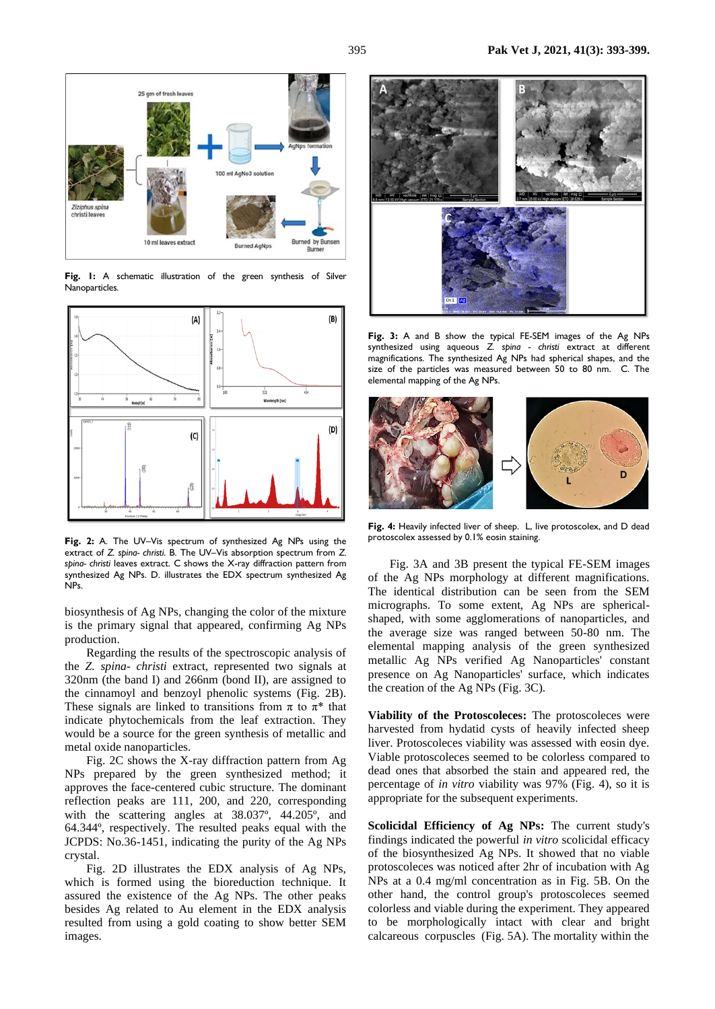



**Fig. 1:** A schematic illustration of the green synthesis of Silver Nanoparticles.



**Fig. 2:** A. The UV–Vis spectrum of synthesized Ag NPs using the extract of *Z. spina- christi*. B. The UV–Vis absorption spectrum from *Z. spina- christi* leaves extract. C shows the X-ray diffraction pattern from synthesized Ag NPs. D. illustrates the EDX spectrum synthesized Ag NPs.

biosynthesis of Ag NPs, changing the color of the mixture is the primary signal that appeared, confirming Ag NPs production.

Regarding the results of the spectroscopic analysis of the *Z. spina- christi* extract, represented two signals at 320nm (the band I) and 266nm (bond II), are assigned to the cinnamoyl and benzoyl phenolic systems (Fig. 2B). These signals are linked to transitions from  $\pi$  to  $\pi^*$  that indicate phytochemicals from the leaf extraction. They would be a source for the green synthesis of metallic and metal oxide nanoparticles.

Fig. 2C shows the X-ray diffraction pattern from Ag NPs prepared by the green synthesized method; it approves the face-centered cubic structure. The dominant reflection peaks are 111, 200, and 220, corresponding with the scattering angles at 38.037º, 44.205º, and 64.344º, respectively. The resulted peaks equal with the JCPDS: No.36-1451, indicating the purity of the Ag NPs crystal.

Fig. 2D illustrates the EDX analysis of Ag NPs, which is formed using the bioreduction technique. It assured the existence of the Ag NPs. The other peaks besides Ag related to Au element in the EDX analysis resulted from using a gold coating to show better SEM images.



**Fig. 3:** A and B show the typical FE-SEM images of the Ag NPs synthesized using aqueous *Z. spina - christi* extract at different magnifications. The synthesized Ag NPs had spherical shapes, and the size of the particles was measured between 50 to 80 nm. C. The elemental mapping of the Ag NPs.



Fig. 4: Heavily infected liver of sheep. L, live protoscolex, and D dead protoscolex assessed by 0.1% eosin staining.

Fig. 3A and 3B present the typical FE-SEM images of the Ag NPs morphology at different magnifications. The identical distribution can be seen from the SEM micrographs. To some extent, Ag NPs are sphericalshaped, with some agglomerations of nanoparticles, and the average size was ranged between 50-80 nm. The elemental mapping analysis of the green synthesized metallic Ag NPs verified Ag Nanoparticles' constant presence on Ag Nanoparticles' surface, which indicates the creation of the Ag NPs (Fig. 3C).

**Viability of the Protoscoleces:** The protoscoleces were harvested from hydatid cysts of heavily infected sheep liver. Protoscoleces viability was assessed with eosin dye. Viable protoscoleces seemed to be colorless compared to dead ones that absorbed the stain and appeared red, the percentage of *in vitro* viability was 97% (Fig. 4), so it is appropriate for the subsequent experiments.

**Scolicidal Efficiency of Ag NPs:** The current study's findings indicated the powerful *in vitro* scolicidal efficacy of the biosynthesized Ag NPs. It showed that no viable protoscoleces was noticed after 2hr of incubation with Ag NPs at a 0.4 mg/ml concentration as in Fig. 5B. On the other hand, the control group's protoscoleces seemed colorless and viable during the experiment. They appeared to be morphologically intact with clear and bright calcareous corpuscles (Fig. 5A). The mortality within the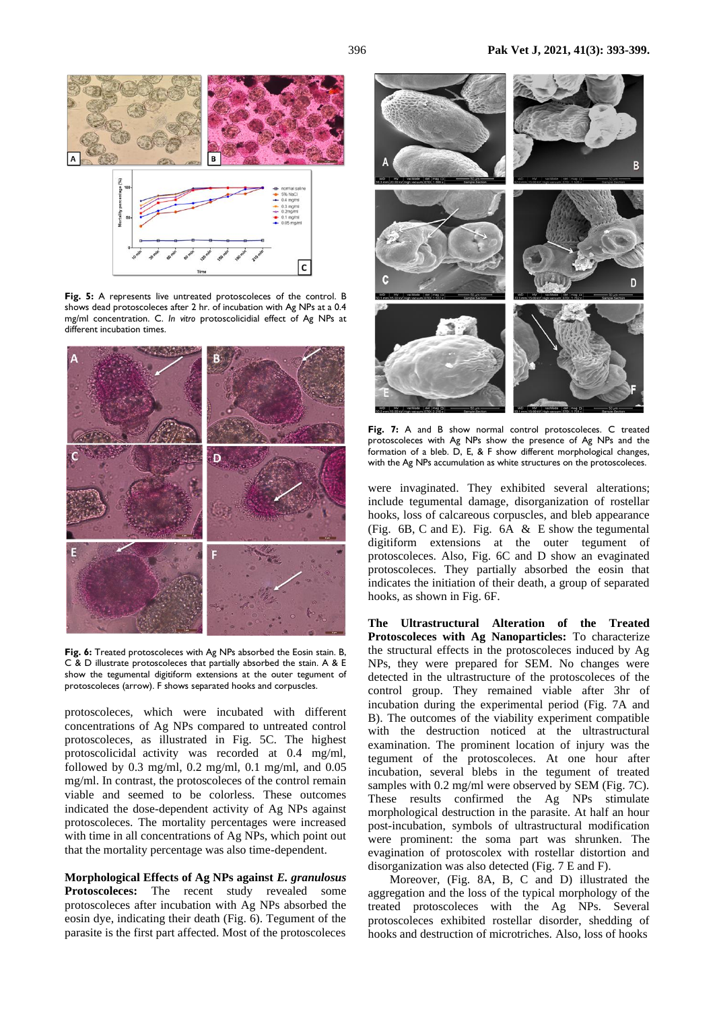

**Fig. 5:** A represents live untreated protoscoleces of the control. B shows dead protoscoleces after 2 hr. of incubation with Ag NPs at a 0.4 mg/ml concentration. C. *In vitro* protoscolicidial effect of Ag NPs at different incubation times.



Fig. 6: Treated protoscoleces with Ag NPs absorbed the Eosin stain. B, C & D illustrate protoscoleces that partially absorbed the stain. A & E show the tegumental digitiform extensions at the outer tegument of protoscoleces (arrow). F shows separated hooks and corpuscles.

protoscoleces*,* which were incubated with different concentrations of Ag NPs compared to untreated control protoscoleces, as illustrated in Fig. 5C. The highest protoscolicidal activity was recorded at 0.4 mg/ml, followed by 0.3 mg/ml, 0.2 mg/ml, 0.1 mg/ml, and 0.05 mg/ml. In contrast, the protoscoleces of the control remain viable and seemed to be colorless. These outcomes indicated the dose-dependent activity of Ag NPs against protoscoleces. The mortality percentages were increased with time in all concentrations of Ag NPs, which point out that the mortality percentage was also time-dependent.

**Morphological Effects of Ag NPs against** *E. granulosus* **Protoscoleces:** The recent study revealed some protoscoleces after incubation with Ag NPs absorbed the eosin dye, indicating their death (Fig. 6). Tegument of the parasite is the first part affected. Most of the protoscoleces



**Fig. 7:** A and B show normal control protoscoleces. C treated protoscoleces with Ag NPs show the presence of Ag NPs and the formation of a bleb. D, E, & F show different morphological changes, with the Ag NPs accumulation as white structures on the protoscoleces.

were invaginated. They exhibited several alterations; include tegumental damage, disorganization of rostellar hooks, loss of calcareous corpuscles, and bleb appearance (Fig. 6B, C and E). Fig. 6A & E show the tegumental digitiform extensions at the outer tegument of protoscoleces. Also, Fig. 6C and D show an evaginated protoscoleces. They partially absorbed the eosin that indicates the initiation of their death, a group of separated hooks, as shown in Fig. 6F.

**The Ultrastructural Alteration of the Treated Protoscoleces with Ag Nanoparticles:** To characterize the structural effects in the protoscoleces induced by Ag NPs, they were prepared for SEM. No changes were detected in the ultrastructure of the protoscoleces of the control group. They remained viable after 3hr of incubation during the experimental period (Fig. 7A and B). The outcomes of the viability experiment compatible with the destruction noticed at the ultrastructural examination. The prominent location of injury was the tegument of the protoscoleces. At one hour after incubation, several blebs in the tegument of treated samples with 0.2 mg/ml were observed by SEM (Fig. 7C). These results confirmed the Ag NPs stimulate morphological destruction in the parasite. At half an hour post-incubation, symbols of ultrastructural modification were prominent: the soma part was shrunken. The evagination of protoscolex with rostellar distortion and disorganization was also detected (Fig. 7 E and F).

Moreover, (Fig. 8A, B, C and D) illustrated the aggregation and the loss of the typical morphology of the treated protoscoleces with the Ag NPs. Several protoscoleces exhibited rostellar disorder, shedding of hooks and destruction of microtriches. Also, loss of hooks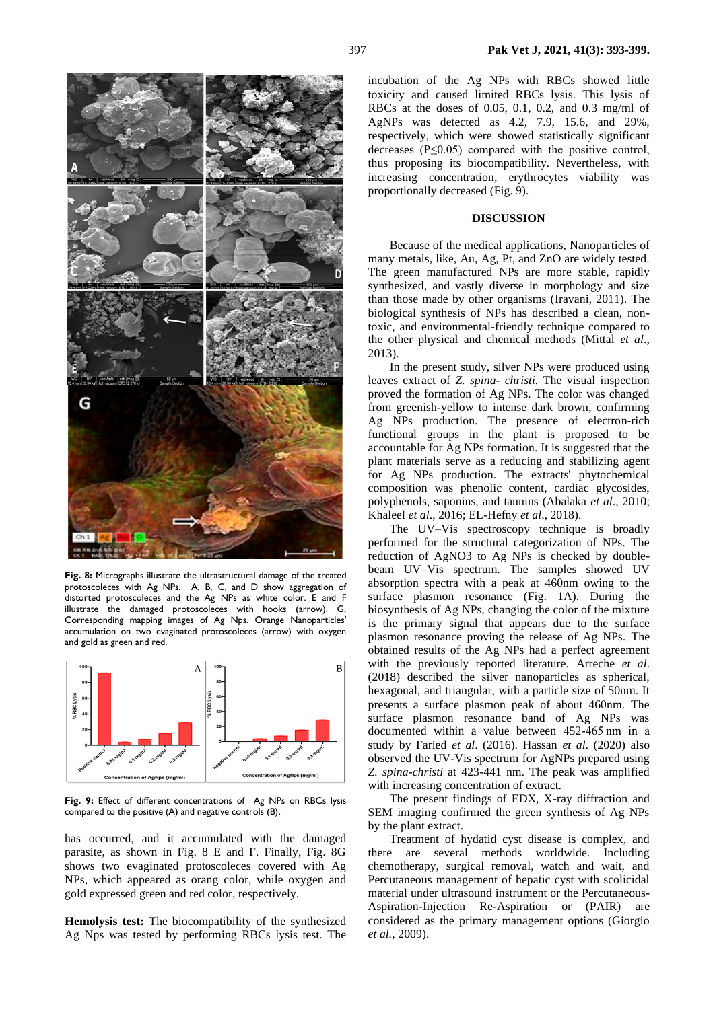

**Fig. 8:** Micrographs illustrate the ultrastructural damage of the treated protoscoleces with Ag NPs. A, B, C, and D show aggregation of distorted protoscoleces and the Ag NPs as white color. E and F illustrate the damaged protoscoleces with hooks (arrow). G, Corresponding mapping images of Ag Nps. Orange Nanoparticles' accumulation on two evaginated protoscoleces (arrow) with oxygen and gold as green and red.



**Fig. 9:** Effect of different concentrations of Ag NPs on RBCs lysis compared to the positive (A) and negative controls (B).

has occurred, and it accumulated with the damaged parasite, as shown in Fig. 8 E and F. Finally, Fig. 8G shows two evaginated protoscoleces covered with Ag NPs, which appeared as orang color, while oxygen and gold expressed green and red color, respectively.

**Hemolysis test:** The biocompatibility of the synthesized Ag Nps was tested by performing RBCs lysis test. The

incubation of the Ag NPs with RBCs showed little toxicity and caused limited RBCs lysis. This lysis of RBCs at the doses of 0.05, 0.1, 0.2, and 0.3 mg/ml of AgNPs was detected as 4.2, 7.9, 15.6, and 29%, respectively, which were showed statistically significant decreases  $(P \leq 0.05)$  compared with the positive control, thus proposing its biocompatibility. Nevertheless, with increasing concentration, erythrocytes viability was proportionally decreased (Fig. 9).

#### **DISCUSSION**

Because of the medical applications, Nanoparticles of many metals, like, Au, Ag, Pt, and ZnO are widely tested. The green manufactured NPs are more stable, rapidly synthesized, and vastly diverse in morphology and size than those made by other organisms (Iravani, 2011). The biological synthesis of NPs has described a clean, nontoxic, and environmental-friendly technique compared to the other physical and chemical methods (Mittal *et al*., 2013).

In the present study, silver NPs were produced using leaves extract of *Z. spina- christi.* The visual inspection proved the formation of Ag NPs. The color was changed from greenish-yellow to intense dark brown, confirming Ag NPs production. The presence of electron-rich functional groups in the plant is proposed to be accountable for Ag NPs formation. It is suggested that the plant materials serve as a reducing and stabilizing agent for Ag NPs production. The extracts' phytochemical composition was phenolic content, cardiac glycosides, polyphenols, saponins, and tannins (Abalaka *et al*., 2010; Khaleel *et al*., 2016; EL-Hefny *et al*., 2018).

The UV–Vis spectroscopy technique is broadly performed for the structural categorization of NPs. The reduction of AgNO3 to Ag NPs is checked by doublebeam UV–Vis spectrum. The samples showed UV absorption spectra with a peak at 460nm owing to the surface plasmon resonance (Fig. 1A). During the biosynthesis of Ag NPs, changing the color of the mixture is the primary signal that appears due to the surface plasmon resonance proving the release of Ag NPs. The obtained results of the Ag NPs had a perfect agreement with the previously reported literature. Arreche *et al*. (2018) described the silver nanoparticles as spherical, hexagonal, and triangular, with a particle size of 50nm. It presents a surface plasmon peak of about 460nm. The surface plasmon resonance band of Ag NPs was documented within a value between 452-465 nm in a study by Faried *et al*. (2016). Hassan *et al*. (2020) also observed the UV-Vis spectrum for AgNPs prepared using *Z. spina-christi* at 423-441 nm. The peak was amplified with increasing concentration of extract.

The present findings of EDX, X-ray diffraction and SEM imaging confirmed the green synthesis of Ag NPs by the plant extract.

Treatment of hydatid cyst disease is complex, and there are several methods worldwide. Including chemotherapy, surgical removal, watch and wait, and Percutaneous management of hepatic cyst with scolicidal material under ultrasound instrument or the Percutaneous-Aspiration-Injection Re-Aspiration or (PAIR) are considered as the primary management options (Giorgio *et al.,* 2009).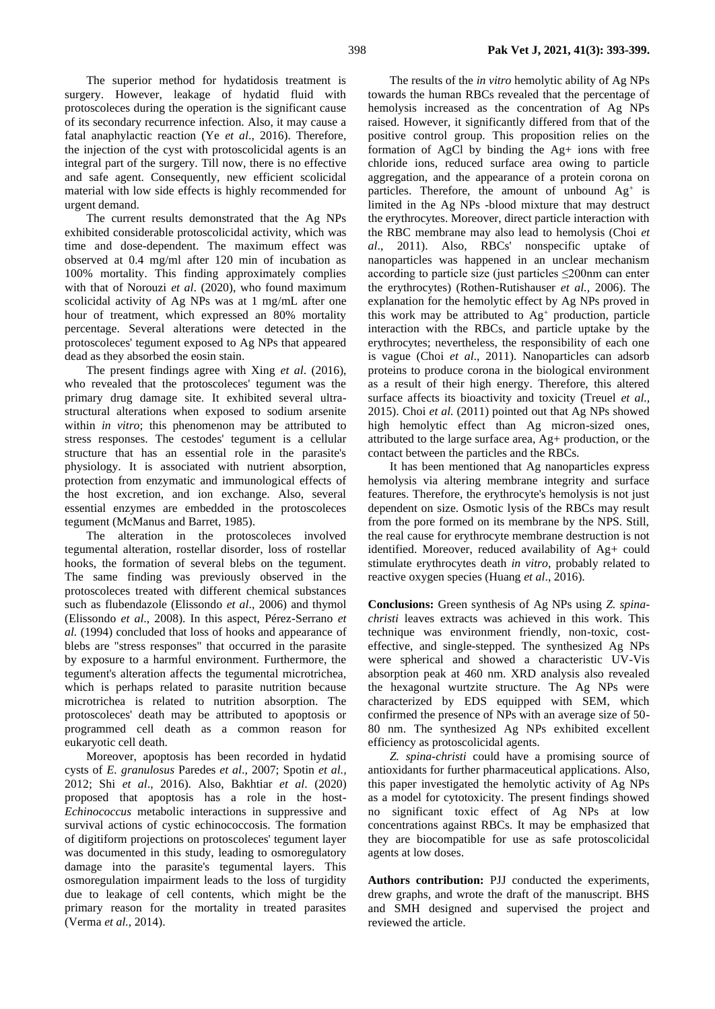The superior method for hydatidosis treatment is surgery. However, leakage of hydatid fluid with protoscoleces during the operation is the significant cause of its secondary recurrence infection. Also, it may cause a fatal anaphylactic reaction (Ye *et al*., 2016). Therefore, the injection of the cyst with protoscolicidal agents is an integral part of the surgery. Till now, there is no effective and safe agent. Consequently, new efficient scolicidal material with low side effects is highly recommended for urgent demand.

The current results demonstrated that the Ag NPs exhibited considerable protoscolicidal activity, which was time and dose-dependent. The maximum effect was observed at 0.4 mg/ml after 120 min of incubation as 100% mortality. This finding approximately complies with that of Norouzi *et al*. (2020), who found maximum scolicidal activity of Ag NPs was at 1 mg/mL after one hour of treatment, which expressed an 80% mortality percentage. Several alterations were detected in the protoscoleces' tegument exposed to Ag NPs that appeared dead as they absorbed the eosin stain.

The present findings agree with Xing *et al*. (2016), who revealed that the protoscoleces' tegument was the primary drug damage site. It exhibited several ultrastructural alterations when exposed to sodium arsenite within *in vitro*; this phenomenon may be attributed to stress responses. The cestodes' tegument is a cellular structure that has an essential role in the parasite's physiology. It is associated with nutrient absorption, protection from enzymatic and immunological effects of the host excretion, and ion exchange. Also, several essential enzymes are embedded in the protoscoleces tegument (McManus and Barret, 1985).

The alteration in the protoscoleces involved tegumental alteration, rostellar disorder, loss of rostellar hooks, the formation of several blebs on the tegument. The same finding was previously observed in the protoscoleces treated with different chemical substances such as flubendazole (Elissondo *et al*., 2006) and thymol (Elissondo *et al*., 2008). In this aspect, Pérez-Serrano *et al.* (1994) concluded that loss of hooks and appearance of blebs are "stress responses" that occurred in the parasite by exposure to a harmful environment. Furthermore, the tegument's alteration affects the tegumental microtrichea, which is perhaps related to parasite nutrition because microtrichea is related to nutrition absorption. The protoscoleces' death may be attributed to apoptosis or programmed cell death as a common reason for eukaryotic cell death.

Moreover, apoptosis has been recorded in hydatid cysts of *E. granulosus* Paredes *et al*., 2007; Spotin *et al.,*  2012; Shi *et al*., 2016). Also, Bakhtiar *et al*. (2020) proposed that apoptosis has a role in the host-*Echinococcus* metabolic interactions in suppressive and survival actions of cystic echinococcosis. The formation of digitiform projections on protoscoleces' tegument layer was documented in this study, leading to osmoregulatory damage into the parasite's tegumental layers. This osmoregulation impairment leads to the loss of turgidity due to leakage of cell contents, which might be the primary reason for the mortality in treated parasites (Verma *et al.,* 2014).

The results of the *in vitro* hemolytic ability of Ag NPs towards the human RBCs revealed that the percentage of hemolysis increased as the concentration of Ag NPs raised. However, it significantly differed from that of the positive control group. This proposition relies on the formation of AgCl by binding the Ag+ ions with free chloride ions, reduced surface area owing to particle aggregation, and the appearance of a protein corona on particles. Therefore, the amount of unbound  $Ag<sup>+</sup>$  is limited in the Ag NPs -blood mixture that may destruct the erythrocytes. Moreover, direct particle interaction with the RBC membrane may also lead to hemolysis (Choi *et al*., 2011). Also, RBCs' nonspecific uptake of nanoparticles was happened in an unclear mechanism according to particle size (just particles  $\leq$ 200nm can enter the erythrocytes) (Rothen-Rutishauser *et al.,* 2006). The explanation for the hemolytic effect by Ag NPs proved in this work may be attributed to  $Ag^+$  production, particle interaction with the RBCs, and particle uptake by the erythrocytes; nevertheless, the responsibility of each one is vague (Choi *et al*., 2011). Nanoparticles can adsorb proteins to produce corona in the biological environment as a result of their high energy. Therefore, this altered surface affects its bioactivity and toxicity (Treuel *et al.,* 2015). Choi *et al.* (2011) pointed out that Ag NPs showed high hemolytic effect than Ag micron-sized ones, attributed to the large surface area, Ag+ production, or the contact between the particles and the RBCs.

It has been mentioned that Ag nanoparticles express hemolysis via altering membrane integrity and surface features. Therefore, the erythrocyte's hemolysis is not just dependent on size. Osmotic lysis of the RBCs may result from the pore formed on its membrane by the NPS. Still, the real cause for erythrocyte membrane destruction is not identified. Moreover, reduced availability of Ag+ could stimulate erythrocytes death *in vitro*, probably related to reactive oxygen species (Huang *et al*., 2016).

**Conclusions:** Green synthesis of Ag NPs using *Z. spinachristi* leaves extracts was achieved in this work. This technique was environment friendly, non-toxic, costeffective, and single-stepped. The synthesized Ag NPs were spherical and showed a characteristic UV-Vis absorption peak at 460 nm. XRD analysis also revealed the hexagonal wurtzite structure. The Ag NPs were characterized by EDS equipped with SEM, which confirmed the presence of NPs with an average size of 50- 80 nm. The synthesized Ag NPs exhibited excellent efficiency as protoscolicidal agents.

*Z. spina-christi* could have a promising source of antioxidants for further pharmaceutical applications. Also, this paper investigated the hemolytic activity of Ag NPs as a model for cytotoxicity. The present findings showed no significant toxic effect of Ag NPs at low concentrations against RBCs. It may be emphasized that they are biocompatible for use as safe protoscolicidal agents at low doses.

**Authors contribution:** PJJ conducted the experiments, drew graphs, and wrote the draft of the manuscript. BHS and SMH designed and supervised the project and reviewed the article.